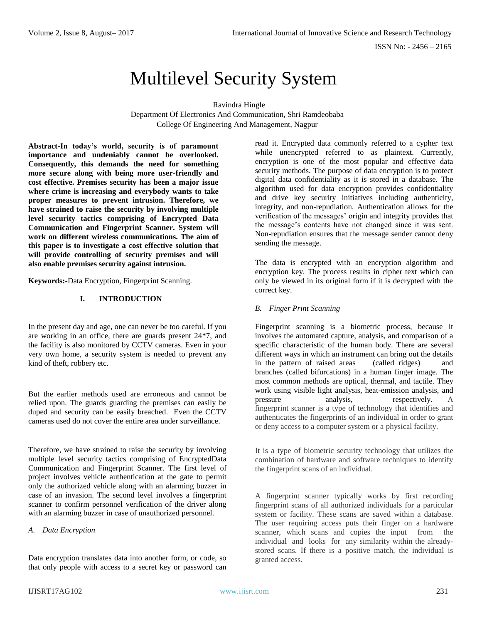ISSN No: - 2456 – 2165

# Multilevel Security System

Ravindra Hingle

Department Of Electronics And Communication, Shri Ramdeobaba College Of Engineering And Management, Nagpur

**Abstract-In today's world, security is of paramount importance and undeniably cannot be overlooked. Consequently, this demands the need for something more secure along with being more user-friendly and cost effective. Premises security has been a major issue where crime is increasing and everybody wants to take proper measures to prevent intrusion. Therefore, we have strained to raise the security by involving multiple level security tactics comprising of Encrypted Data Communication and Fingerprint Scanner. System will work on different wireless communications. The aim of this paper is to investigate a cost effective solution that will provide controlling of security premises and will also enable premises security against intrusion.**

**Keywords:-**Data Encryption, Fingerprint Scanning.

# **I. INTRODUCTION**

In the present day and age, one can never be too careful. If you are working in an office, there are guards present 24\*7, and the facility is also monitored by CCTV cameras. Even in your very own home, a security system is needed to prevent any kind of theft, robbery etc.

But the earlier methods used are erroneous and cannot be relied upon. The guards guarding the premises can easily be duped and security can be easily breached. Even the CCTV cameras used do not cover the entire area under surveillance.

Therefore, we have strained to raise the security by involving multiple level security tactics comprising of EncryptedData Communication and Fingerprint Scanner. The first level of project involves vehicle authentication at the gate to permit only the authorized vehicle along with an alarming buzzer in case of an invasion. The second level involves a fingerprint scanner to confirm personnel verification of the driver along with an alarming buzzer in case of unauthorized personnel.

## *A. Data Encryption*

Data encryption translates data into another form, or code, so that only people with access to a secret key or password can read it. Encrypted data commonly referred to a cypher text while unencrypted referred to as plaintext. Currently, encryption is one of the most popular and effective data security methods. The purpose of data encryption is to protect digital data confidentiality as it is stored in a database. The algorithm used for data encryption provides confidentiality and drive key security initiatives including authenticity, integrity, and non-repudiation. Authentication allows for the verification of the messages' origin and integrity provides that the message's contents have not changed since it was sent. Non-repudiation ensures that the message sender cannot deny sending the message.

The data is encrypted with an encryption algorithm and encryption key. The process results in cipher text which can only be viewed in its original form if it is decrypted with the correct key.

## *B. Finger Print Scanning*

Fingerprint scanning is a biometric process, because it involves the automated capture, analysis, and comparison of a specific characteristic of the human body. There are several different ways in which an instrument can bring out the details in the pattern of raised areas (called ridges) and branches (called bifurcations) in a human finger image. The most common methods are optical, thermal, and tactile. They work using visible light analysis, heat-emission analysis, and pressure analysis, respectively. A fingerprint scanner is a type of technology that identifies and authenticates the fingerprints of an individual in order to grant or deny access to a computer system or a physical facility.

It is a type of biometric security technology that utilizes the combination of hardware and software techniques to identify the fingerprint scans of an individual.

A fingerprint scanner typically works by first recording fingerprint scans of all authorized individuals for a particular system or facility. These scans are saved within a database. The user requiring access puts their finger on a hardware scanner, which scans and copies the input from the individual and looks for any similarity within the alreadystored scans. If there is a positive match, the individual is granted access.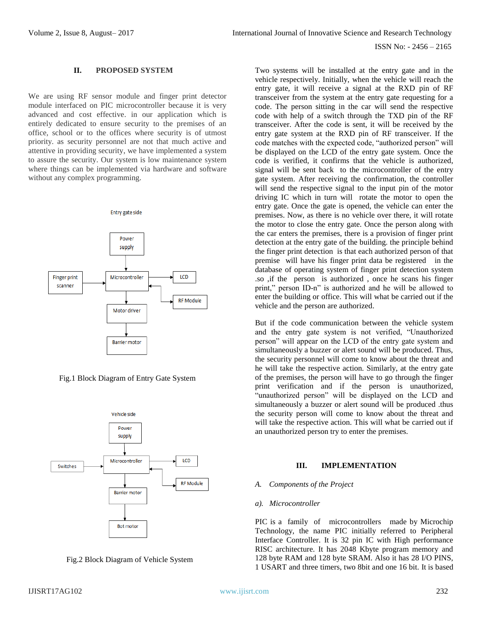## **II. PROPOSED SYSTEM**

We are using RF sensor module and finger print detector module interfaced on PIC microcontroller because it is very advanced and cost effective. in our application which is entirely dedicated to ensure security to the premises of an office, school or to the offices where security is of utmost priority. as security personnel are not that much active and attentive in providing security, we have implemented a system to assure the security. Our system is low maintenance system where things can be implemented via hardware and software without any complex programming.

Entry gate side



Fig.1 Block Diagram of Entry Gate System





Two systems will be installed at the entry gate and in the vehicle respectively. Initially, when the vehicle will reach the entry gate, it will receive a signal at the RXD pin of RF transceiver from the system at the entry gate requesting for a code. The person sitting in the car will send the respective code with help of a switch through the TXD pin of the RF transceiver. After the code is sent, it will be received by the entry gate system at the RXD pin of RF transceiver. If the code matches with the expected code, "authorized person" will be displayed on the LCD of the entry gate system. Once the code is verified, it confirms that the vehicle is authorized, signal will be sent back to the microcontroller of the entry gate system. After receiving the confirmation, the controller will send the respective signal to the input pin of the motor driving IC which in turn will rotate the motor to open the entry gate. Once the gate is opened, the vehicle can enter the premises. Now, as there is no vehicle over there, it will rotate the motor to close the entry gate. Once the person along with the car enters the premises, there is a provision of finger print detection at the entry gate of the building. the principle behind the finger print detection is that each authorized person of that premise will have his finger print data be registered in the database of operating system of finger print detection system .so ,if the person is authorized , once he scans his finger print," person ID-n" is authorized and he will be allowed to enter the building or office. This will what be carried out if the vehicle and the person are authorized.

But if the code communication between the vehicle system and the entry gate system is not verified, "Unauthorized person" will appear on the LCD of the entry gate system and simultaneously a buzzer or alert sound will be produced. Thus, the security personnel will come to know about the threat and he will take the respective action. Similarly, at the entry gate of the premises, the person will have to go through the finger print verification and if the person is unauthorized, "unauthorized person" will be displayed on the LCD and simultaneously a buzzer or alert sound will be produced .thus the security person will come to know about the threat and will take the respective action. This will what be carried out if an unauthorized person try to enter the premises.

## **III. IMPLEMENTATION**

## *A. Components of the Project*

#### *a). Microcontroller*

PIC is a family of microcontrollers made by Microchip Technology, the name PIC initially referred to Peripheral Interface Controller. It is 32 pin IC with High performance RISC architecture. It has 2048 Kbyte program memory and 128 byte RAM and 128 byte SRAM. Also it has 28 I/O PINS, 1 USART and three timers, two 8bit and one 16 bit. It is based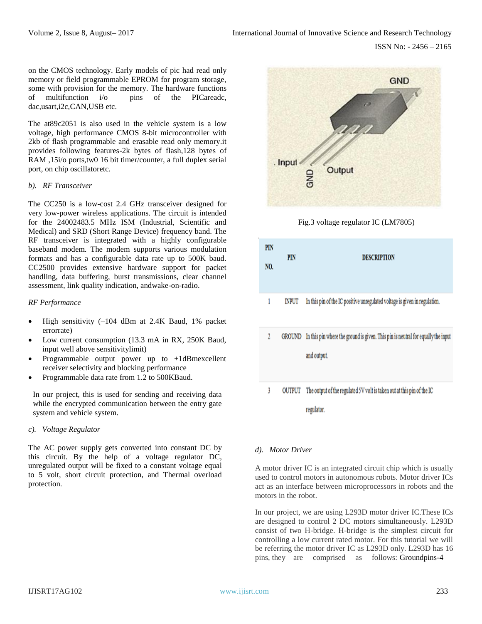on the CMOS technology. Early models of pic had read only memory or field programmable EPROM for program storage, some with provision for the memory. The hardware functions of multifunction i/o pins of the PICareadc, dac,usart,i2c,CAN,USB etc.

The at89c2051 is also used in the vehicle system is a low voltage, high performance CMOS 8-bit microcontroller with 2kb of flash programmable and erasable read only memory.it provides following features-2k bytes of flash,128 bytes of RAM ,15i/o ports,tw0 16 bit timer/counter, a full duplex serial port, on chip oscillatoretc.

#### *b). RF Transceiver*

The CC250 is a low-cost 2.4 GHz transceiver designed for very low-power wireless applications. The circuit is intended for the 24002483.5 MHz ISM (Industrial, Scientific and Medical) and SRD (Short Range Device) frequency band. The RF transceiver is integrated with a highly configurable baseband modem. The modem supports various modulation formats and has a configurable data rate up to 500K baud. CC2500 provides extensive hardware support for packet handling, data buffering, burst transmissions, clear channel assessment, link quality indication, andwake-on-radio.

#### *RF Performance*

- High sensitivity  $(-104$  dBm at 2.4K Baud, 1% packet errorrate)
- Low current consumption (13.3 mA in RX, 250K Baud, input well above sensitivitylimit)
- Programmable output power up to +1dBmexcellent receiver selectivity and blocking performance
- Programmable data rate from 1.2 to 500KBaud.

In our project, this is used for sending and receiving data while the encrypted communication between the entry gate system and vehicle system.

## *c). Voltage Regulator*

The AC power supply gets converted into constant DC by this circuit. By the help of a voltage regulator DC, unregulated output will be fixed to a constant voltage equal to 5 volt, short circuit protection, and Thermal overload protection.



Fig.3 voltage regulator IC (LM7805)



## *d). Motor Driver*

A motor driver IC is an integrated circuit chip which is usually used to control motors in autonomous robots. Motor driver ICs act as an interface between microprocessors in robots and the motors in the robot.

In our project, we are using L293D motor driver IC.These ICs are designed to control 2 DC motors simultaneously. L293D consist of two H-bridge. H-bridge is the simplest circuit for controlling a low current rated motor. For this tutorial we will be referring the motor driver IC as L293D only. L293D has 16 pins, they are comprised as follows: Groundpins-4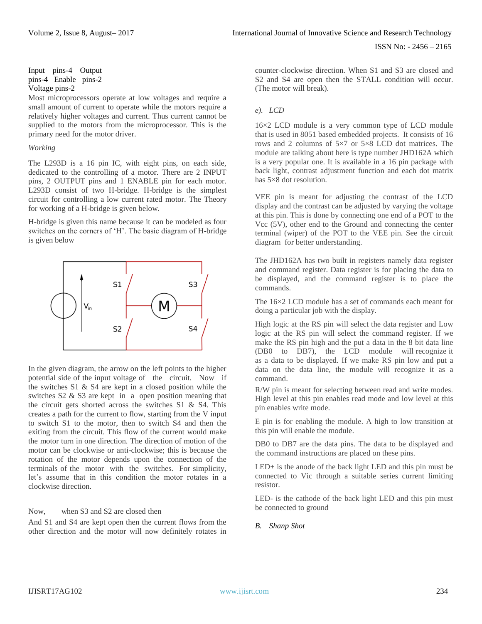Input pins-4 Output pins-4 Enable pins-2 Voltage pins-2

Most microprocessors operate at low voltages and require a small amount of current to operate while the motors require a relatively higher voltages and current. Thus current cannot be supplied to the motors from the microprocessor. This is the primary need for the motor driver.

#### *Working*

The L293D is a 16 pin IC, with eight pins, on each side, dedicated to the controlling of a motor. There are 2 INPUT pins, 2 OUTPUT pins and 1 ENABLE pin for each motor. L293D consist of two H-bridge. H-bridge is the simplest circuit for controlling a low current rated motor. The Theory for working of a H-bridge is given below.

H-bridge is given this name because it can be modeled as four switches on the corners of 'H'. The basic diagram of H-bridge is given below



In the given diagram, the arrow on the left points to the higher potential side of the input voltage of the circuit. Now if the switches S1 & S4 are kept in a closed position while the switches S2 & S3 are kept in a open position meaning that the circuit gets shorted across the switches S1 & S4. This creates a path for the current to flow, starting from the V input to switch S1 to the motor, then to switch S4 and then the exiting from the circuit. This flow of the current would make the motor turn in one direction. The direction of motion of the motor can be clockwise or anti-clockwise; this is because the rotation of the motor depends upon the connection of the terminals of the motor with the switches. For simplicity, let's assume that in this condition the motor rotates in a clockwise direction.

Now, when S3 and S2 are closed then

And S1 and S4 are kept open then the current flows from the other direction and the motor will now definitely rotates in counter-clockwise direction. When S1 and S3 are closed and S2 and S4 are open then the STALL condition will occur. (The motor will break).

# *e). LCD*

16×2 LCD module is a very common type of LCD module that is used in 8051 based embedded projects. It consists of 16 rows and 2 columns of 5×7 or 5×8 LCD dot matrices. The module are talking about here is type number JHD162A which is a very popular one. It is available in a 16 pin package with back light, contrast adjustment function and each dot matrix has 5×8 dot resolution.

VEE pin is meant for adjusting the contrast of the LCD display and the contrast can be adjusted by varying the voltage at this pin. This is done by connecting one end of a POT to the Vcc (5V), other end to the Ground and connecting the center terminal (wiper) of the POT to the VEE pin. See the circuit diagram for better understanding.

The JHD162A has two built in registers namely data register and command register. Data register is for placing the data to be displayed, and the command register is to place the commands.

The 16×2 LCD module has a set of commands each meant for doing a particular job with the display.

High logic at the RS pin will select the data register and Low logic at the RS pin will select the command register. If we make the RS pin high and the put a data in the 8 bit data line (DB0 to DB7), the LCD module will recognize it as a data to be displayed. If we make RS pin low and put a data on the data line, the module will recognize it as a command.

R/W pin is meant for selecting between read and write modes. High level at this pin enables read mode and low level at this pin enables write mode.

E pin is for enabling the module. A high to low transition at this pin will enable the module.

DB0 to DB7 are the data pins. The data to be displayed and the command instructions are placed on these pins.

LED+ is the anode of the back light LED and this pin must be connected to Vic through a suitable series current limiting resistor.

LED- is the cathode of the back light LED and this pin must be connected to ground

# *B. Shanp Shot*